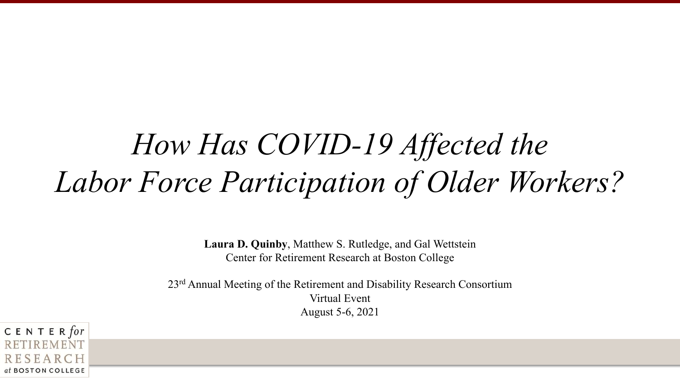# *How Has COVID-19 Affected the Labor Force Participation of Older Workers?*

**Laura D. Quinby**, Matthew S. Rutledge, and Gal Wettstein Center for Retirement Research at Boston College

23rd Annual Meeting of the Retirement and Disability Research Consortium Virtual Event August 5-6, 2021

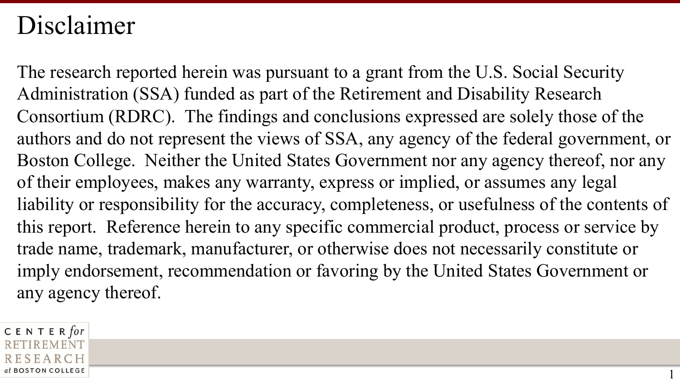#### Disclaimer

The research reported herein was pursuant to a grant from the U.S. Social Security Administration (SSA) funded as part of the Retirement and Disability Research Consortium (RDRC). The findings and conclusions expressed are solely those of the authors and do not represent the views of SSA, any agency of the federal government, or Boston College. Neither the United States Government nor any agency thereof, nor any of their employees, makes any warranty, express or implied, or assumes any legal liability or responsibility for the accuracy, completeness, or usefulness of the contents of this report. Reference herein to any specific commercial product, process or service by trade name, trademark, manufacturer, or otherwise does not necessarily constitute or imply endorsement, recommendation or favoring by the United States Government or any agency thereof.

1

CENTER for at BOSTON COLLEGE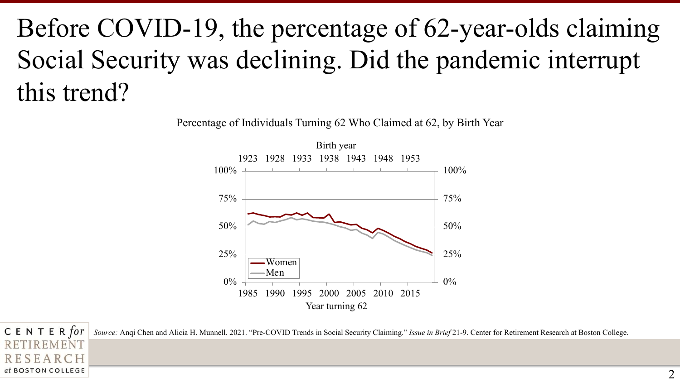# Before COVID-19, the percentage of 62-year-olds claiming Social Security was declining. Did the pandemic interrupt this trend?

Percentage of Individuals Turning 62 Who Claimed at 62, by Birth Year



CENTER for *Source:* Anqi Chen and Alicia H. Munnell. 2021. "Pre-COVID Trends in Social Security Claiming." *Issue in Brief* 21-9. Center for Retirement Research at Boston College.

**REMENT** 

RESEARCH at BOSTON COLLEGE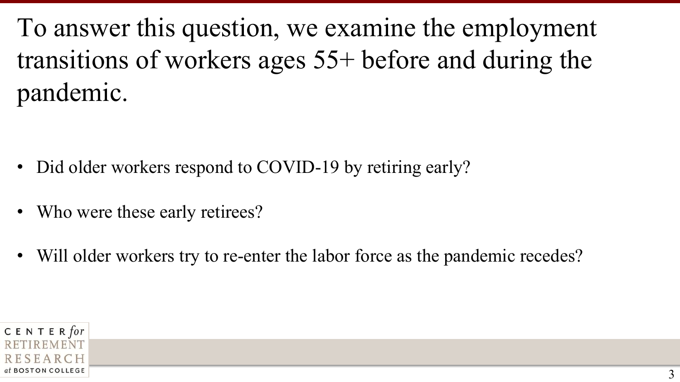To answer this question, we examine the employment transitions of workers ages 55+ before and during the pandemic.

- Did older workers respond to COVID-19 by retiring early?
- Who were these early retirees?
- Will older workers try to re-enter the labor force as the pandemic recedes?

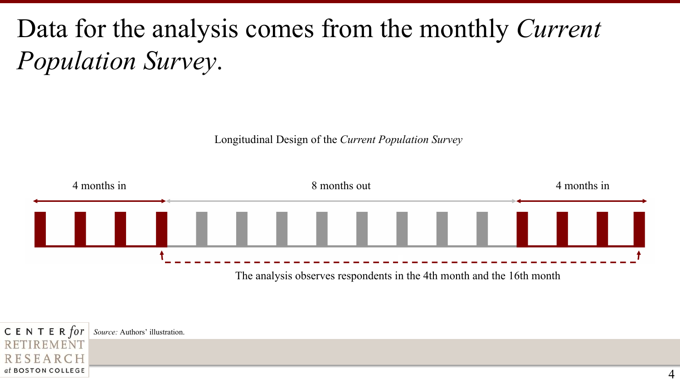#### Data for the analysis comes from the monthly *Current Population Survey*.

Longitudinal Design of the *Current Population Survey*



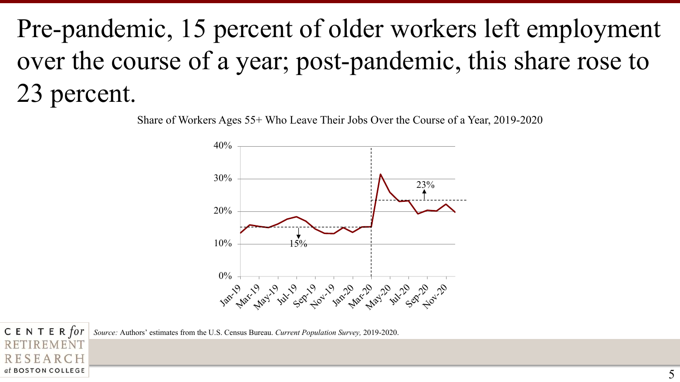# Pre-pandemic, 15 percent of older workers left employment over the course of a year; post-pandemic, this share rose to 23 percent.

Share of Workers Ages 55+ Who Leave Their Jobs Over the Course of a Year, 2019-2020



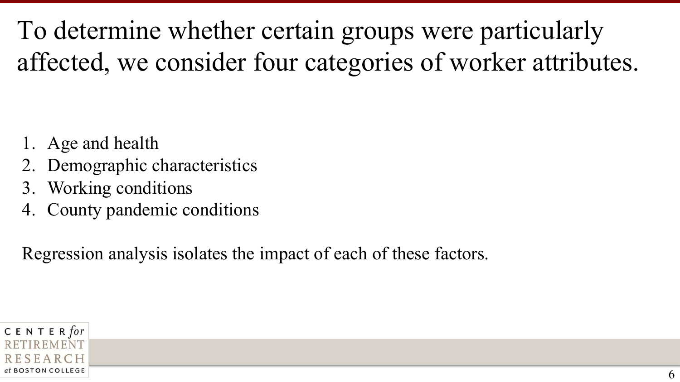To determine whether certain groups were particularly affected, we consider four categories of worker attributes.

- Age and health
- Demographic characteristics
- 3. Working conditions
- County pandemic conditions

Regression analysis isolates the impact of each of these factors.

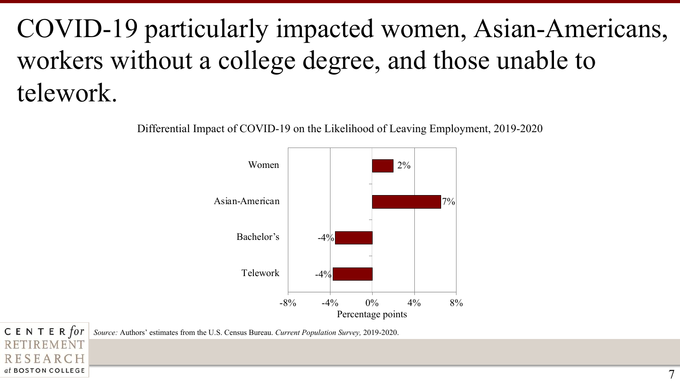# COVID-19 particularly impacted women, Asian-Americans, workers without a college degree, and those unable to telework.

Differential Impact of COVID-19 on the Likelihood of Leaving Employment, 2019-2020



CENTER for *Source:* Authors' estimates from the U.S. Census Bureau. *Current Population Survey,* 2019-2020.

**REMENT** 

RESEARCH at BOSTON COLLEGE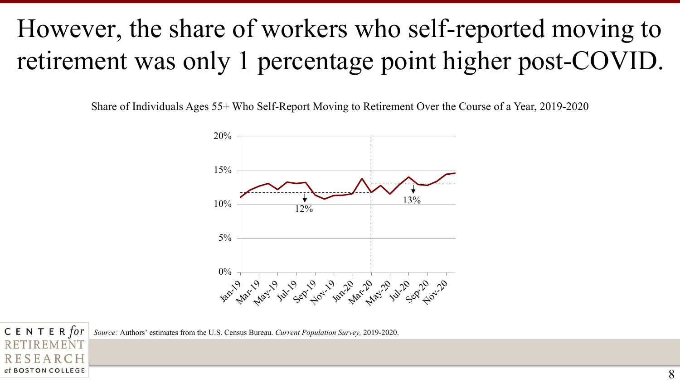## However, the share of workers who self-reported moving to retirement was only 1 percentage point higher post-COVID.

Share of Individuals Ages 55+ Who Self-Report Moving to Retirement Over the Course of a Year, 2019-2020



CENTER for *Source:* Authors' estimates from the U.S. Census Bureau. *Current Population Survey,* 2019-2020.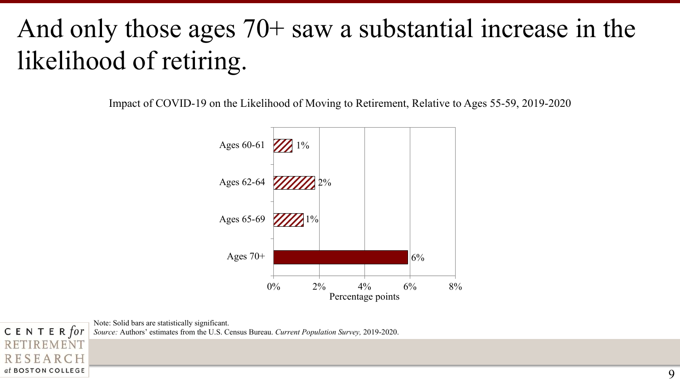## And only those ages 70+ saw a substantial increase in the likelihood of retiring.

Impact of COVID-19 on the Likelihood of Moving to Retirement, Relative to Ages 55-59, 2019-2020



Note: Solid bars are statistically significant.

CENTER for

RESEARCH at BOSTON COLLEGE

**IREMENT** 

*Source:* Authors' estimates from the U.S. Census Bureau. *Current Population Survey,* 2019-2020.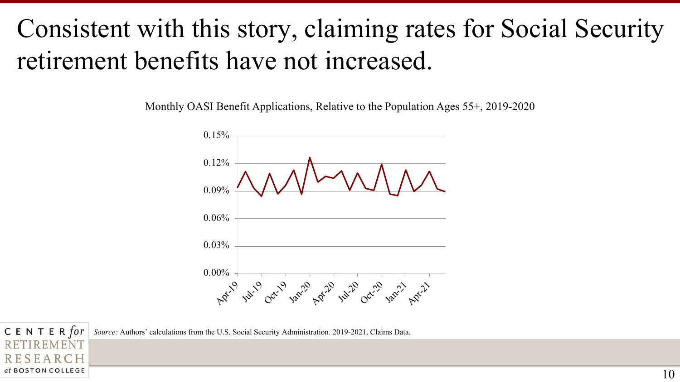#### Consistent with this story, claiming rates for Social Security retirement benefits have not increased.

Monthly OASI Benefit Applications, Relative to the Population Ages 55+, 2019-2020



CENTER for *Source:* Authors' calculations from the U.S. Social Security Administration. 2019-2021. Claims Data.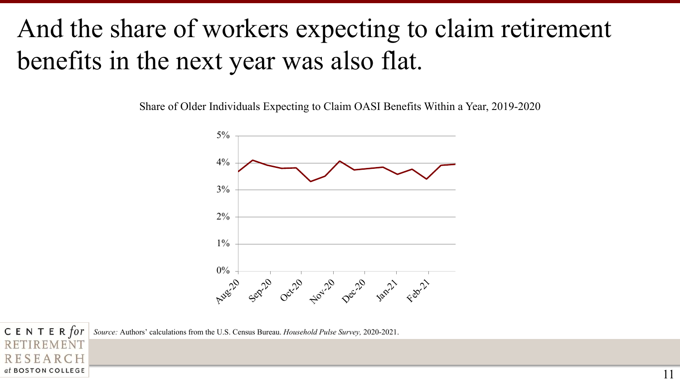#### And the share of workers expecting to claim retirement benefits in the next year was also flat.

Share of Older Individuals Expecting to Claim OASI Benefits Within a Year, 2019-2020



CENTER for *Source:* Authors' calculations from the U.S. Census Bureau. *Household Pulse Survey,* 2020-2021.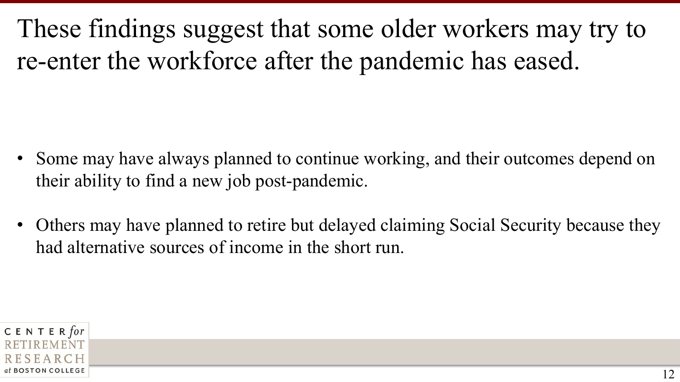These findings suggest that some older workers may try to re-enter the workforce after the pandemic has eased.

- Some may have always planned to continue working, and their outcomes depend on their ability to find a new job post-pandemic.
- Others may have planned to retire but delayed claiming Social Security because they had alternative sources of income in the short run.